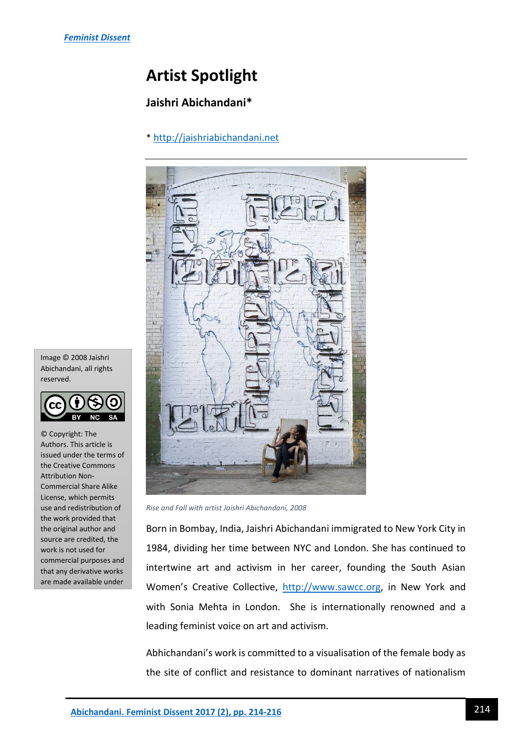# **Artist Spotlight**

## **Jaishri Abichandani\***

### \* [http://jaishriabichandani.net](http://jaishriabichandani.net/)



*Rise and Fall with artist Jaishri Abichandani, 2008*

Born in Bombay, India, Jaishri Abichandani immigrated to New York City in 1984, dividing her time between NYC and London. She has continued to intertwine art and activism in her career, founding the South Asian Women's Creative Collective, [http://www.sawcc.org,](http://www.sawcc.org/) in New York and with Sonia Mehta in London. She is internationally renowned and a leading feminist voice on art and activism.

Abhichandani's work is committed to a visualisation of the female body as the site of conflict and resistance to dominant narratives of nationalism

Image © 2008 Jaishri Abichandani, all rights reserved.



© Copyright: The Authors. This article is issued under the terms of the Creative Commons Attribution Non-Commercial Share Alike License, which permits use and redistribution of the work provided that the original author and source are credited, the work is not used for commercial purposes and that any derivative works are made available under

the same license terms.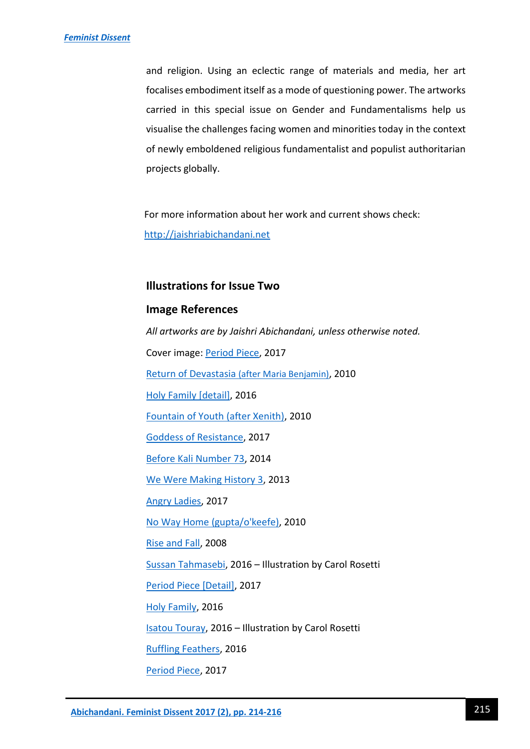and religion. Using an eclectic range of materials and media, her art focalises embodiment itself as a mode of questioning power. The artworks carried in this special issue on Gender and Fundamentalisms help us visualise the challenges facing women and minorities today in the context of newly emboldened religious fundamentalist and populist authoritarian projects globally.

For more information about her work and current shows check: [http://jaishriabichandani.net](http://jaishriabichandani.net/)

#### **Illustrations for Issue Two**

#### **Image References**

*All artworks are by Jaishri Abichandani, unless otherwise noted.* Cover image: [Period Piece,](http://jaishriabichandani.net/artwork/3831804_Period_Piece.html) 2017 [Return of Devastasia](http://jaishriabichandani.net/artwork/1530862_Return_of_Devastasia_after_Maria.html) (after Maria Benjamin), 2010 [Holy Family \[detail\]](http://jaishriabichandani.net/artwork/3961910_Holy_Family_Detail.html), 2016 [Fountain of Youth \(after Xenith\),](http://jaishriabichandani.net/artwork/1581287_Fountain_of_Youth_after_Xenith.html) 2010 [Goddess of Resistance,](http://jaishriabichandani.net/artwork/4196799_Goddess_of_Resistance.html) 2017 [Before Kali Number 73,](http://jaishriabichandani.net/artwork/3531136_Before_Kali_Number_73.html) 2014 [We Were Making History 3,](http://jaishriabichandani.net/artwork/4203742_We_Were_Making_History_3.html) 2013 [Angry Ladies,](http://jaishriabichandani.net/section/450734_Angry_Ladies.html) 2017 [No Way Home \(gupta/o'keefe\),](http://jaishriabichandani.net/artwork/1530874_No_Way_Home_gupta_o_keefe.html) 2010 [Rise and Fall,](http://jaishriabichandani.net/artwork/751471_Rise_and_Fall.html) 2008 [Sussan Tahmasebi,](http://www.forum.awid.org/forum16/posts/12-activists-who-will-make-you-hopeful-feminist-futures-without-fundamentalisms) 2016 – Illustration by Carol Rosetti [Period Piece \[Detail\],](http://jaishriabichandani.net/artwork/3831806_period_piece_details.html) 2017 [Holy Family,](http://jaishriabichandani.net/artwork/3961909_Holy_Family.html) 2016 [Isatou Touray,](http://www.forum.awid.org/forum16/posts/12-activists-who-will-make-you-hopeful-feminist-futures-without-fundamentalisms) 2016 – Illustration by Carol Rosetti [Ruffling Feathers,](http://jaishriabichandani.net/artwork/3961920_Ruffling_Feathers.html) 2016 [Period Piece,](http://jaishriabichandani.net/artwork/3831804_Period_Piece.html) 2017